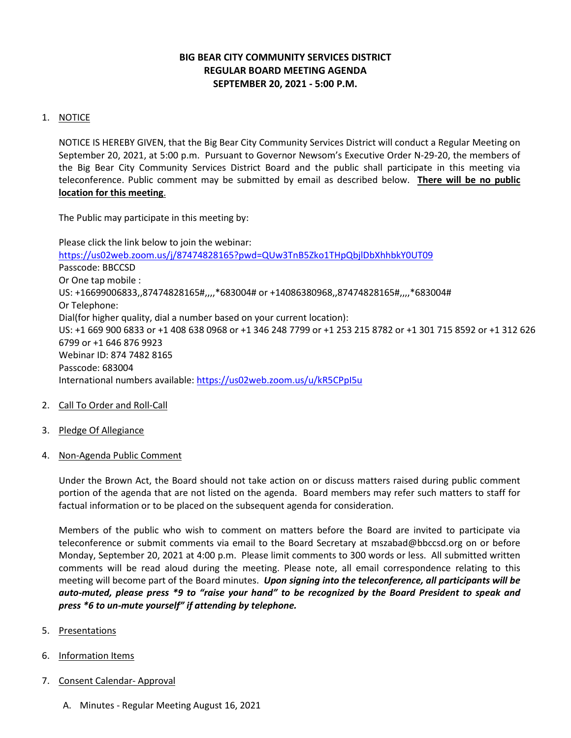# **BIG BEAR CITY COMMUNITY SERVICES DISTRICT REGULAR BOARD MEETING AGENDA SEPTEMBER 20, 2021 - 5:00 P.M.**

## 1. NOTICE

NOTICE IS HEREBY GIVEN, that the Big Bear City Community Services District will conduct a Regular Meeting on September 20, 2021, at 5:00 p.m. Pursuant to Governor Newsom's Executive Order N-29-20, the members of the Big Bear City Community Services District Board and the public shall participate in this meeting via teleconference. Public comment may be submitted by email as described below. **There will be no public location for this meeting**.

The Public may participate in this meeting by:

Please click the link below to join the webinar: <https://us02web.zoom.us/j/87474828165?pwd=QUw3TnB5Zko1THpQbjlDbXhhbkY0UT09> Passcode: BBCCSD Or One tap mobile : US: +16699006833,,87474828165#,,,,\*683004# or +14086380968,,87474828165#,,,,\*683004# Or Telephone: Dial(for higher quality, dial a number based on your current location): US: +1 669 900 6833 or +1 408 638 0968 or +1 346 248 7799 or +1 253 215 8782 or +1 301 715 8592 or +1 312 626 6799 or +1 646 876 9923 Webinar ID: 874 7482 8165 Passcode: 683004 International numbers available:<https://us02web.zoom.us/u/kR5CPpI5u>

### 2. Call To Order and Roll-Call

- 3. Pledge Of Allegiance
- 4. Non-Agenda Public Comment

Under the Brown Act, the Board should not take action on or discuss matters raised during public comment portion of the agenda that are not listed on the agenda. Board members may refer such matters to staff for factual information or to be placed on the subsequent agenda for consideration.

Members of the public who wish to comment on matters before the Board are invited to participate via teleconference or submit comments via email to the Board Secretary at mszabad@bbccsd.org on or before Monday, September 20, 2021 at 4:00 p.m. Please limit comments to 300 words or less. All submitted written comments will be read aloud during the meeting. Please note, all email correspondence relating to this meeting will become part of the Board minutes. *Upon signing into the teleconference, all participants will be auto-muted, please press \*9 to "raise your hand" to be recognized by the Board President to speak and press \*6 to un-mute yourself" if attending by telephone.*

- 5. Presentations
- 6. Information Items
- 7. Consent Calendar- Approval
	- A. Minutes Regular Meeting August 16, 2021